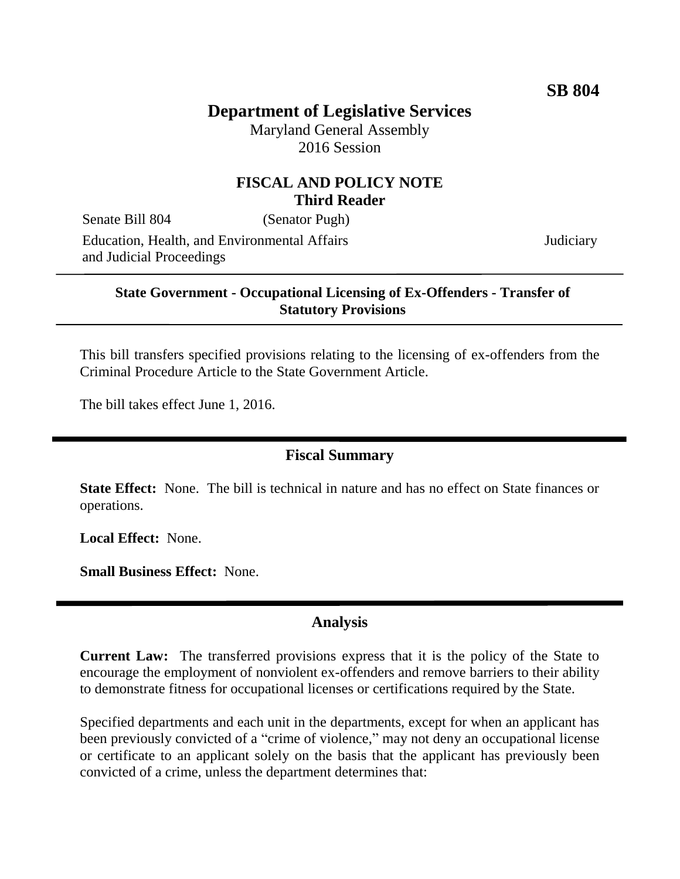# **Department of Legislative Services**

Maryland General Assembly 2016 Session

### **FISCAL AND POLICY NOTE Third Reader**

Senate Bill 804 (Senator Pugh) Education, Health, and Environmental Affairs and Judicial Proceedings

**Judiciary** 

#### **State Government - Occupational Licensing of Ex-Offenders - Transfer of Statutory Provisions**

This bill transfers specified provisions relating to the licensing of ex-offenders from the Criminal Procedure Article to the State Government Article.

The bill takes effect June 1, 2016.

#### **Fiscal Summary**

**State Effect:** None. The bill is technical in nature and has no effect on State finances or operations.

**Local Effect:** None.

**Small Business Effect:** None.

#### **Analysis**

**Current Law:** The transferred provisions express that it is the policy of the State to encourage the employment of nonviolent ex-offenders and remove barriers to their ability to demonstrate fitness for occupational licenses or certifications required by the State.

Specified departments and each unit in the departments, except for when an applicant has been previously convicted of a "crime of violence," may not deny an occupational license or certificate to an applicant solely on the basis that the applicant has previously been convicted of a crime, unless the department determines that: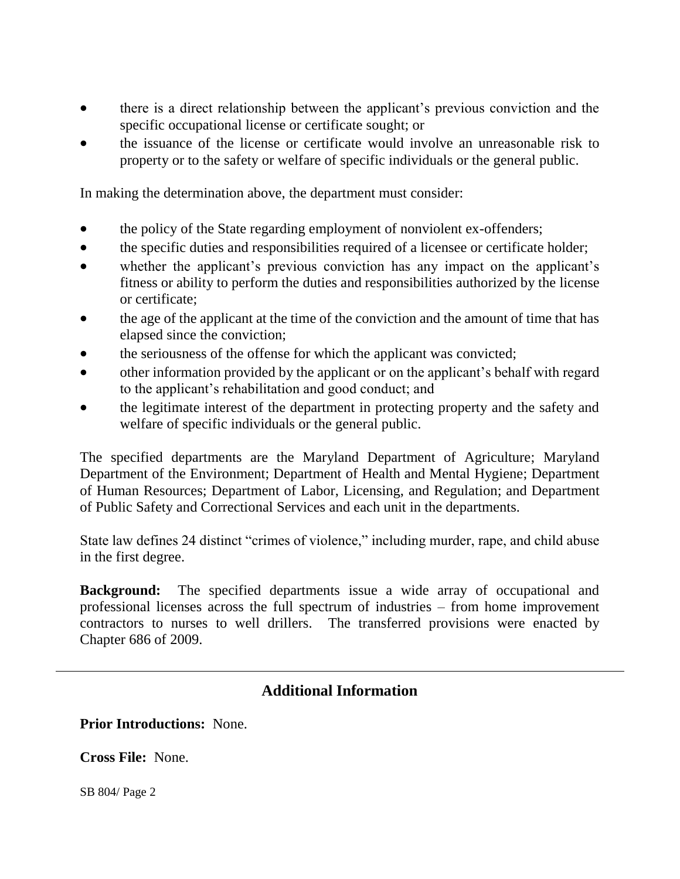- there is a direct relationship between the applicant's previous conviction and the specific occupational license or certificate sought; or
- the issuance of the license or certificate would involve an unreasonable risk to property or to the safety or welfare of specific individuals or the general public.

In making the determination above, the department must consider:

- the policy of the State regarding employment of nonviolent ex-offenders;
- the specific duties and responsibilities required of a licensee or certificate holder;
- whether the applicant's previous conviction has any impact on the applicant's fitness or ability to perform the duties and responsibilities authorized by the license or certificate;
- the age of the applicant at the time of the conviction and the amount of time that has elapsed since the conviction;
- the seriousness of the offense for which the applicant was convicted;
- other information provided by the applicant or on the applicant's behalf with regard to the applicant's rehabilitation and good conduct; and
- the legitimate interest of the department in protecting property and the safety and welfare of specific individuals or the general public.

The specified departments are the Maryland Department of Agriculture; Maryland Department of the Environment; Department of Health and Mental Hygiene; Department of Human Resources; Department of Labor, Licensing, and Regulation; and Department of Public Safety and Correctional Services and each unit in the departments.

State law defines 24 distinct "crimes of violence," including murder, rape, and child abuse in the first degree.

**Background:** The specified departments issue a wide array of occupational and professional licenses across the full spectrum of industries – from home improvement contractors to nurses to well drillers. The transferred provisions were enacted by Chapter 686 of 2009.

## **Additional Information**

**Prior Introductions:** None.

**Cross File:** None.

SB 804/ Page 2